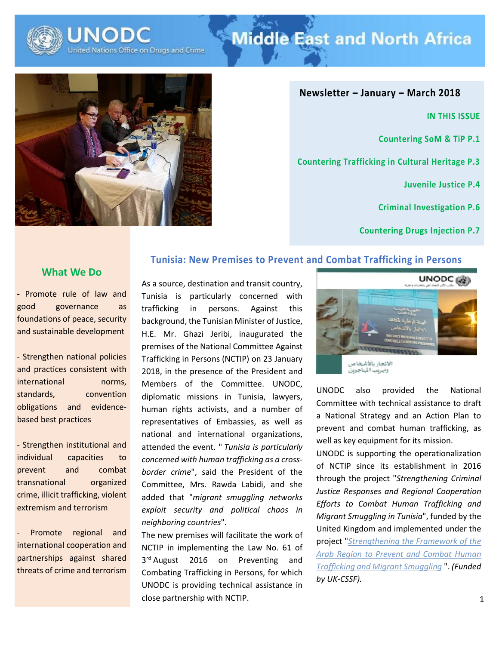

# **Middle East and North Africa**



**Newsletter – January – March 2018**

**IN THIS ISSUE**

**Countering SoM & TiP P.1**

**Countering Trafficking in Cultural Heritage P.3**

**Juvenile Justice P.4**

**Criminal Investigation P.6**

**Countering Drugs Injection P.7**

#### **What We Do**

**-** Promote rule of law and good governance as foundations of peace, security and sustainable development

- Strengthen national policies and practices consistent with international norms. standards, convention obligations and evidencebased best practices

- Strengthen institutional and individual capacities to prevent and combat transnational organized crime, illicit trafficking, violent extremism and terrorism

Promote regional and international cooperation and partnerships against shared threats of crime and terrorism

### **Tunisia: New Premises to Prevent and Combat Trafficking in Persons**

As a source, destination and transit country, Tunisia is particularly concerned with trafficking in persons. Against this background, the Tunisian Minister of Justice, H.E. Mr. Ghazi Jeribi, inaugurated the premises of the National Committee Against Trafficking in Persons (NCTIP) on 23 January 2018, in the presence of the President and Members of the Committee. UNODC, diplomatic missions in Tunisia, lawyers, human rights activists, and a number of representatives of Embassies, as well as national and international organizations, attended the event. " *Tunisia is particularly concerned with human trafficking as a crossborder crime*", said the President of the Committee, Mrs. Rawda Labidi, and she added that "*migrant smuggling networks exploit security and political chaos in neighboring countries*".

The new premises will facilitate the work of NCTIP in implementing the Law No. 61 of 3<sup>rd</sup> August 2016 on Preventing and Combating Trafficking in Persons, for which UNODC is providing technical assistance in close partnership with NCTIP.



UNODC also provided the National Committee with technical assistance to draft a National Strategy and an Action Plan to prevent and combat human trafficking, as well as key equipment for its mission.

UNODC is supporting the operationalization of NCTIP since its establishment in 2016 through the project "*Strengthening Criminal Justice Responses and Regional Cooperation Efforts to Combat Human Trafficking and Migrant Smuggling in Tunisia*", funded by the United Kingdom and implemented under the project "*[Strengthening the Framework of the](https://www.unodc.org/middleeastandnorthafrica/en/project-profiles/xmex19.html)  [Arab Region to Prevent and Combat Human](https://www.unodc.org/middleeastandnorthafrica/en/project-profiles/xmex19.html)  [Trafficking and Migrant Smuggling](https://www.unodc.org/middleeastandnorthafrica/en/project-profiles/xmex19.html)* ". *(Funded by UK-CSSF).*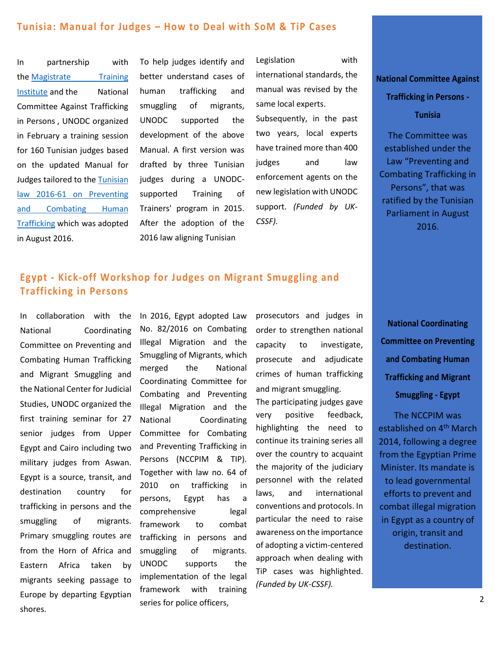#### **Tunisia: Manual for Judges – How to Deal with SoM & TiP Cases**

In partnership with the Magistrate Training [Institute](http://www.ism-justice.nat.tn/) and the National Committee Against Trafficking in Persons , UNODC organized in February a training session for 160 Tunisian judges based on the updated Manual for Judges tailored to the [Tunisian](http://legislation-securite.tn/node/54460)  [law 2016-61 on Preventing](http://legislation-securite.tn/node/54460)  [and Combating Human](http://legislation-securite.tn/node/54460)  [Trafficking](http://legislation-securite.tn/node/54460) which was adopted in August 2016.

To help judges identify and better understand cases of human trafficking and smuggling of migrants, UNODC supported the development of the above Manual. A first version was drafted by three Tunisian judges during a UNODCsupported Training of Trainers' program in 2015. After the adoption of the 2016 law aligning Tunisian

Legislation with international standards, the manual was revised by the same local experts.

Subsequently, in the past two years, local experts have trained more than 400 judges and law enforcement agents on the new legislation with UNODC support. *(Funded by UK-CSSF).*

#### **National Committee Against**

### **Trafficking in Persons - Tunisia**

The Committee was established under the Law "Preventing and Combating Trafficking in Persons", that was ratified by the Tunisian Parliament in August 2016.

## **Egypt - Kick-off Workshop for Judges on Migrant Smuggling and Trafficking in Persons**

In collaboration with the National Coordinating Committee on Preventing and Combating Human Trafficking and Migrant Smuggling and the National Center for Judicial Studies, UNODC organized the first training seminar for 27 senior judges from Upper Egypt and Cairo including two military judges from Aswan. Egypt is a source, transit, and destination country for trafficking in persons and the smuggling of migrants. Primary smuggling routes are from the Horn of Africa and Eastern Africa taken by migrants seeking passage to Europe by departing Egyptian shores.

In 2016, Egypt adopted Law No. 82/2016 on Combating Illegal Migration and the Smuggling of Migrants, which merged the National Coordinating Committee for Combating and Preventing Illegal Migration and the National Coordinating Committee for Combating and Preventing Trafficking in Persons (NCCPIM & TIP). Together with law no. 64 of 2010 on trafficking in persons, Egypt has a comprehensive legal framework to combat trafficking in persons and smuggling of migrants. UNODC supports the implementation of the legal framework with training series for police officers,

prosecutors and judges in order to strengthen national capacity to investigate, prosecute and adjudicate crimes of human trafficking and migrant smuggling. The participating judges gave very positive feedback, highlighting the need to continue its training series all over the country to acquaint the majority of the judiciary personnel with the related laws, and international conventions and protocols. In particular the need to raise awareness on the importance of adopting a victim-centered approach when dealing with TiP cases was highlighted. *(Funded by UK-CSSF).*

**National Coordinating Committee on Preventing and Combating Human Trafficking and Migrant Smuggling - Egypt**

The NCCPIM was established on 4<sup>th</sup> March 2014, following a degree from the Egyptian Prime Minister. Its mandate is to lead governmental efforts to prevent and combat illegal migration in Egypt as a country of origin, transit and destination.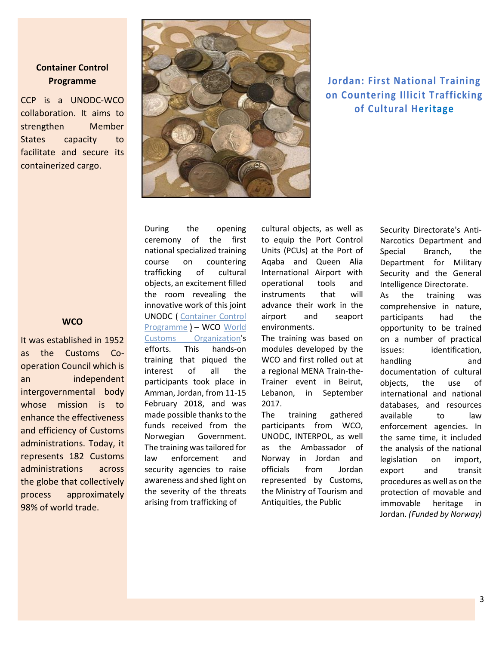#### **Container Control Programme**

CCP is a UNODC-WCO collaboration. It aims to strengthen Member States capacity to facilitate and secure its containerized cargo.

#### **WCO**

It was established in 1952 as the Customs Cooperation Council which is an independent intergovernmental body whose mission is to enhance the effectiveness and efficiency of Customs administrations. Today, it represents 182 Customs administrations across the globe that collectively process approximately 98% of world trade.



# **Jordan: First National Training on Countering Illicit Trafficking of Cultural Heritage**

During the opening ceremony of the first national specialized training course on countering trafficking of cultural objects, an excitement filled the room revealing the innovative work of this joint UNODC ( [Container Control](https://www.unodc.org/middleeastandnorthafrica/en/project-profiles/glog80.html)  [Programme](https://www.unodc.org/middleeastandnorthafrica/en/project-profiles/glog80.html) ) – WCO [World](http://www.wcoomd.org/)  [Customs Organization's](http://www.wcoomd.org/) efforts. This hands-on training that piqued the interest of all the participants took place in Amman, Jordan, from 11-15 February 2018, and was made possible thanks to the funds received from the Norwegian Government. The training was tailored for law enforcement and security agencies to raise awareness and shed light on the severity of the threats arising from trafficking of

cultural objects, as well as to equip the Port Control Units (PCUs) at the Port of Aqaba and Queen Alia International Airport with operational tools and instruments that will advance their work in the airport and seaport environments.

The training was based on modules developed by the WCO and first rolled out at a regional MENA Train-the-Trainer event in Beirut, Lebanon, in September 2017.

The training gathered participants from WCO, UNODC, INTERPOL, as well as the Ambassador of Norway in Jordan and officials from Jordan represented by Customs, the Ministry of Tourism and Antiquities, the Public

Security Directorate's Anti-Narcotics Department and Special Branch, the Department for Military Security and the General Intelligence Directorate.

As the training was comprehensive in nature, participants had the opportunity to be trained on a number of practical issues: identification, handling and documentation of cultural objects, the use of international and national databases, and resources available to law enforcement agencies. In the same time, it included the analysis of the national legislation on import, export and transit procedures as well as on the protection of movable and immovable heritage in Jordan. *(Funded by Norway)*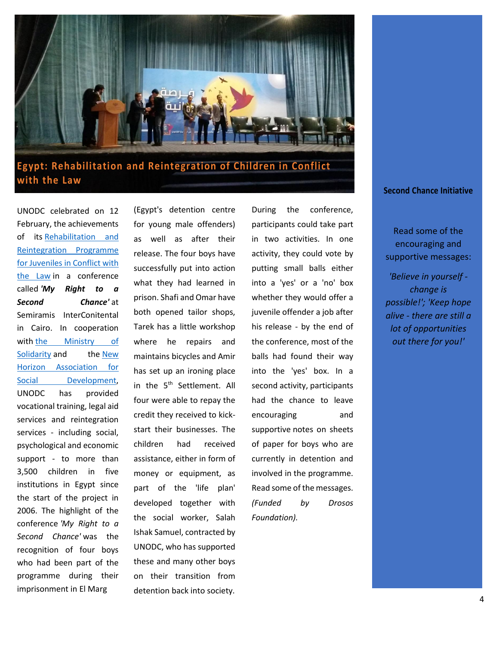

# **Egypt: Rehabilitation and Reintegration of Children in Conflict with the Law**

UNODC celebrated on 12 February, the achievements of its Rehabilitation and [Reintegration Programme](https://www.unodc.org/middleeastandnorthafrica/en/project-profiles/egyz07.html)  [for Juveniles in Conflict with](https://www.unodc.org/middleeastandnorthafrica/en/project-profiles/egyz07.html)  [the Law](https://www.unodc.org/middleeastandnorthafrica/en/project-profiles/egyz07.html) in a conference called *'My Right to a Second Chance'* at Semiramis InterConitental in Cairo. In cooperation with the Ministry of [Solidarity](http://www.moss.gov.eg/misa/ar-eg/%D8%A7%D9%84%D8%B5%D9%81%D8%AD%D8%A9%D8%A7%D9%84%D8%B1%D8%A6%D9%8A%D8%B3%D9%8A%D8%A9.aspx) and the New [Horizon Association for](http://nhasd.org/?page_id=6)  [Social Development,](http://nhasd.org/?page_id=6) UNODC has provided vocational training, legal aid services and reintegration services - including social, psychological and economic support - to more than 3,500 children in five institutions in Egypt since the start of the project in 2006. The highlight of the conference *'My Right to a Second Chance'* was the recognition of four boys who had been part of the programme during their imprisonment in El Marg

(Egypt's detention centre for young male offenders) as well as after their release. The four boys have successfully put into action what they had learned in prison. Shafi and Omar have both opened tailor shops, Tarek has a little workshop where he repairs and maintains bicycles and Amir has set up an ironing place in the 5<sup>th</sup> Settlement. All four were able to repay the credit they received to kickstart their businesses. The children had received assistance, either in form of money or equipment, as part of the 'life plan' developed together with the social worker, Salah Ishak Samuel, contracted by UNODC, who has supported these and many other boys on their transition from detention back into society.

During the conference, participants could take part in two activities. In one activity, they could vote by putting small balls either into a 'yes' or a 'no' box whether they would offer a juvenile offender a job after his release - by the end of the conference, most of the balls had found their way into the 'yes' box. In a second activity, participants had the chance to leave encouraging and supportive notes on sheets of paper for boys who are currently in detention and involved in the programme. Read some of the messages. *(Funded by Drosos Foundation).*

#### **Second Chance Initiative**

Read some of the encouraging and supportive messages:

*'Believe in yourself change is possible!'; 'Keep hope alive - there are still a lot of opportunities out there for you!'*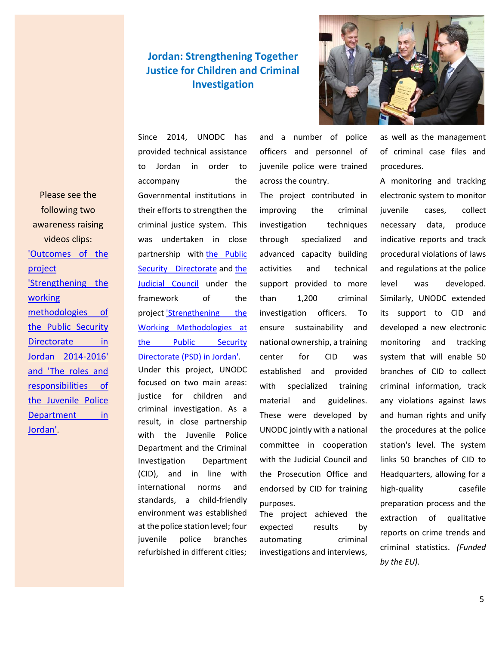# **Jordan: Strengthening Together Justice for Children and Criminal Investigation**



Please see the following two awareness raising videos clips: ['Outcomes of the](https://www.youtube.com/channel/UCRb2Nh8vA7IAwOQNcFqvvQA)  [project](https://www.youtube.com/channel/UCRb2Nh8vA7IAwOQNcFqvvQA)  ['Strengthening the](https://www.youtube.com/channel/UCRb2Nh8vA7IAwOQNcFqvvQA)  [working](https://www.youtube.com/channel/UCRb2Nh8vA7IAwOQNcFqvvQA)  [methodologies of](https://www.youtube.com/channel/UCRb2Nh8vA7IAwOQNcFqvvQA)  [the Public Security](https://www.youtube.com/channel/UCRb2Nh8vA7IAwOQNcFqvvQA)  [Directorate in](https://www.youtube.com/channel/UCRb2Nh8vA7IAwOQNcFqvvQA)  [Jordan 2014-2016'](https://www.youtube.com/channel/UCRb2Nh8vA7IAwOQNcFqvvQA)  and 'The roles and [responsibilities of](https://www.youtube.com/channel/UCRb2Nh8vA7IAwOQNcFqvvQA)  [the Juvenile Police](https://www.youtube.com/channel/UCRb2Nh8vA7IAwOQNcFqvvQA)  Department in [Jordan'](https://www.youtube.com/channel/UCRb2Nh8vA7IAwOQNcFqvvQA).

Since 2014, UNODC has provided technical assistance to Jordan in order to accompany the Governmental institutions in their efforts to strengthen the criminal justice system. This was undertaken in close partnership with the Public [Security Directorate](https://jordan.gov.jo/wps/portal/Home/GovernmentEntities/Ministries/Ministry/Ministry%20of%20Interior/Public%20Security%20Directorate?nameEntity=Public%20Security%20Directorate&entityType=sub) and the [Judicial Council](http://www.jc.jo/en/about) under the framework of the project 'Strengthening the [Working Methodologies at](http://www.unodc.org/middleeastandnorthafrica/en/project-profiles/jorz09.html)  [the Public Security](http://www.unodc.org/middleeastandnorthafrica/en/project-profiles/jorz09.html)  [Directorate \(PSD\) in Jordan'.](http://www.unodc.org/middleeastandnorthafrica/en/project-profiles/jorz09.html) Under this project, UNODC focused on two main areas: justice for children and

criminal investigation. As a result, in close partnership with the Juvenile Police Department and the Criminal Investigation Department (CID), and in line with international norms and standards, a child-friendly environment was established at the police station level; four juvenile police branches refurbished in different cities;

and a number of police officers and personnel of juvenile police were trained across the country.

The project contributed in improving the criminal investigation techniques through specialized and advanced capacity building activities and technical support provided to more than 1,200 criminal investigation officers. To ensure sustainability and national ownership, a training center for CID was established and provided with specialized training material and guidelines. These were developed by UNODC jointly with a national committee in cooperation with the Judicial Council and the Prosecution Office and endorsed by CID for training purposes.

The project achieved the expected results by automating criminal investigations and interviews, as well as the management of criminal case files and procedures.

A monitoring and tracking electronic system to monitor juvenile cases, collect necessary data, produce indicative reports and track procedural violations of laws and regulations at the police level was developed. Similarly, UNODC extended its support to CID and developed a new electronic monitoring and tracking system that will enable 50 branches of CID to collect criminal information, track any violations against laws and human rights and unify the procedures at the police station's level. The system links 50 branches of CID to Headquarters, allowing for a high-quality casefile preparation process and the extraction of qualitative reports on crime trends and criminal statistics. *(Funded by the EU).*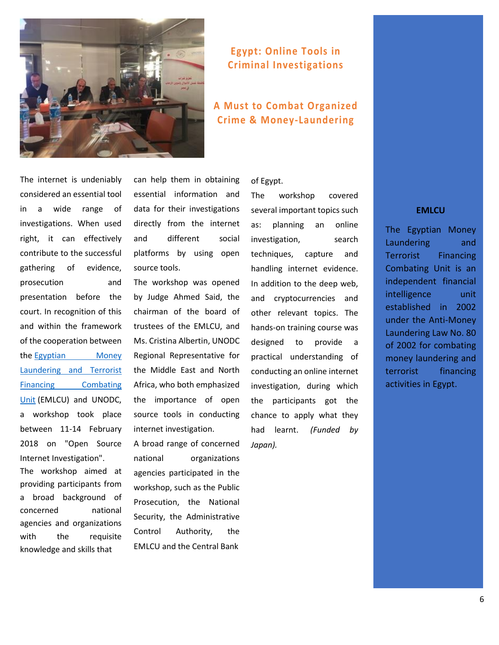

### **Egypt: Online Tools in Criminal Investigations**

# **A Must to Combat Organized Crime & Money-Laundering**

The internet is undeniably considered an essential tool in a wide range of investigations. When used right, it can effectively contribute to the successful gathering of evidence, prosecution and presentation before the court. In recognition of this and within the framework of the cooperation between the [Egyptian Money](http://www.mlcu.org.eg/page36.html)  [Laundering and Terrorist](http://www.mlcu.org.eg/page36.html)  [Financing Combating](http://www.mlcu.org.eg/page36.html)  [Unit](http://www.mlcu.org.eg/page36.html) (EMLCU) and UNODC, a workshop took place between 11-14 February 2018 on "Open Source Internet Investigation".

The workshop aimed at providing participants from a broad background of concerned national agencies and organizations with the requisite knowledge and skills that

can help them in obtaining essential information and data for their investigations directly from the internet and different social platforms by using open source tools.

The workshop was opened by Judge Ahmed Said, the chairman of the board of trustees of the EMLCU, and Ms. Cristina Albertin, UNODC Regional Representative for the Middle East and North Africa, who both emphasized the importance of open source tools in conducting internet investigation.

A broad range of concerned national organizations agencies participated in the workshop, such as the Public Prosecution, the National Security, the Administrative Control Authority, the EMLCU and the Central Bank

of Egypt.

The workshop covered several important topics such as: planning an online investigation, search techniques, capture and handling internet evidence. In addition to the deep web, and cryptocurrencies and other relevant topics. The hands-on training course was designed to provide a practical understanding of conducting an online internet investigation, during which the participants got the chance to apply what they had learnt. *(Funded by Japan).*

#### **EMLCU**

The Egyptian Money Laundering and Terrorist Financing Combating Unit is an independent financial intelligence unit established in 2002 under the Anti-Money Laundering Law No. 80 of 2002 for combating money laundering and terrorist financing activities in Egypt.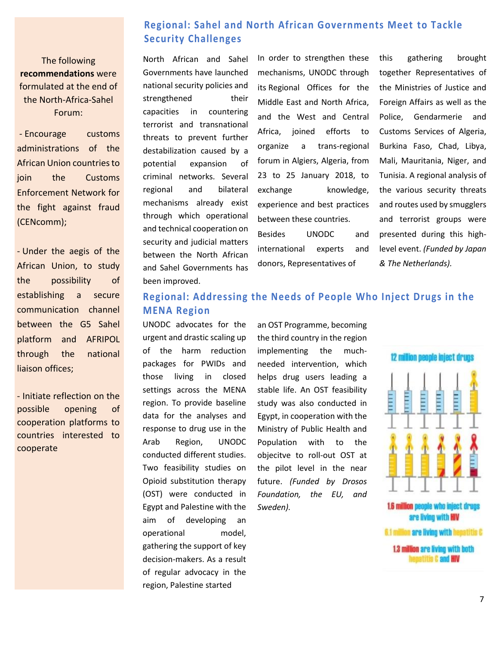### **Regional: Sahel and North African Governments Meet to Tackle Security Challenges**

The following **recommendations** were formulated at the end of the North-Africa-Sahel Forum:

- Encourage customs administrations of the African Union countries to join the Customs Enforcement Network for the fight against fraud (CENcomm);

- Under the aegis of the African Union, to study the possibility of establishing a secure communication channel between the G5 Sahel platform and AFRIPOL through the national liaison offices;

- Initiate reflection on the possible opening of cooperation platforms to countries interested to cooperate

North African and Sahel Governments have launched national security policies and strengthened their capacities in countering terrorist and transnational threats to prevent further destabilization caused by a potential expansion of criminal networks. Several regional and bilateral mechanisms already exist through which operational and technical cooperation on security and judicial matters between the North African and Sahel Governments has been improved.

In order to strengthen these mechanisms, UNODC through its Regional Offices for the Middle East and North Africa, and the West and Central Africa, joined efforts to organize a trans-regional forum in Algiers, Algeria, from 23 to 25 January 2018, to exchange knowledge, experience and best practices between these countries. Besides UNODC and international experts and donors, Representatives of

this gathering brought together Representatives of the Ministries of Justice and Foreign Affairs as well as the Police, Gendarmerie and Customs Services of Algeria, Burkina Faso, Chad, Libya, Mali, Mauritania, Niger, and Tunisia. A regional analysis of the various security threats and routes used by smugglers and terrorist groups were presented during this highlevel event. *(Funded by Japan & The Netherlands).*

#### **Regional: Addressing the Needs of People Who Inject Drugs in the MENA Region**

UNODC advocates for the urgent and drastic scaling up of the harm reduction packages for PWIDs and those living in closed settings across the MENA region. To provide baseline data for the analyses and response to drug use in the Arab Region, UNODC conducted different studies. Two feasibility studies on Opioid substitution therapy (OST) were conducted in Egypt and Palestine with the aim of developing an operational model, gathering the support of key decision-makers. As a result of regular advocacy in the region, Palestine started

an OST Programme, becoming the third country in the region implementing the muchneeded intervention, which helps drug users leading a stable life. An OST feasibility study was also conducted in Egypt, in cooperation with the Ministry of Public Health and Population with to the objecitve to roll-out OST at the pilot level in the near future. *(Funded by Drosos Foundation, the EU, and Sweden).*



6.1 million are living with hepatitis C 1.3 million are living with both

hepatitis C and HIV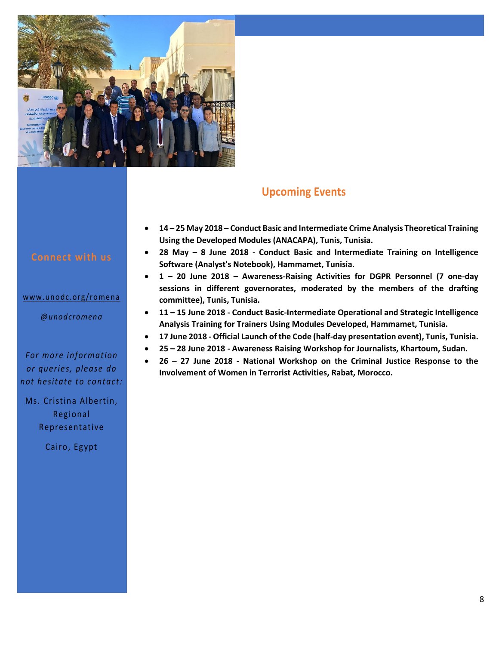

#### www.unodc.org/romena

*@unodcromena*

#### *For more information or queries, please do not hesit ate to contact:*

Ms. Cristina Albertin, Regional Representative

Cairo, Egypt

# **Upcoming Events**

- **14 – 25 May 2018 – Conduct Basic and Intermediate Crime Analysis Theoretical Training Using the Developed Modules (ANACAPA), Tunis, Tunisia.**
- **28 May – 8 June 2018 - Conduct Basic and Intermediate Training on Intelligence Software (Analyst's Notebook), Hammamet, Tunisia.**
- **1 – 20 June 2018 – Awareness-Raising Activities for DGPR Personnel (7 one-day sessions in different governorates, moderated by the members of the drafting committee), Tunis, Tunisia.**
- **11 – 15 June 2018 - Conduct Basic-Intermediate Operational and Strategic Intelligence Analysis Training for Trainers Using Modules Developed, Hammamet, Tunisia.**
- **17 June 2018 - Official Launch of the Code (half-day presentation event), Tunis, Tunisia.**
- **25 – 28 June 2018 - Awareness Raising Workshop for Journalists, Khartoum, Sudan.**
- **26 – 27 June 2018 - National Workshop on the Criminal Justice Response to the Involvement of Women in Terrorist Activities, Rabat, Morocco.**